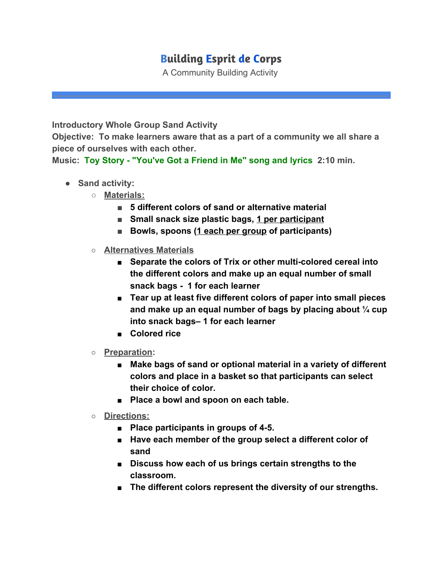## **Building Esprit de Corps**

A Community Building Activity

**Introductory Whole Group Sand Activity**

**Objective: To make learners aware that as a part of a community we all share a piece of ourselves with each other.**

**Music: [Toy Story - "You've Got a Friend in Me" song and lyrics](https://www.youtube.com/watch?v=zIYOJ_hSs0o) 2:10 min.**

- **Sand activity:**
	- **Materials:**
		- **5 different colors of sand or alternative material**
		- **Small snack size plastic bags, 1 per participant**
		- **Bowls, spoons (1 each per group of participants)**
	- **Alternatives Materials**
		- **Separate the colors of Trix or other multi-colored cereal into the different colors and make up an equal number of small snack bags - 1 for each learner**
		- **Tear up at least five different colors of paper into small pieces and make up an equal number of bags by placing about ¼ cup into snack bags– 1 for each learner**
		- **Colored rice**
	- **Preparation:**
		- Make bags of sand or optional material in a variety of different **colors and place in a basket so that participants can select their choice of color.**
		- **Place a bowl and spoon on each table.**
	- **Directions:**
		- **Place participants in groups of 4-5.**
		- Have each member of the group select a different color of **sand**
		- **Discuss how each of us brings certain strengths to the classroom.**
		- The different colors represent the diversity of our strengths.